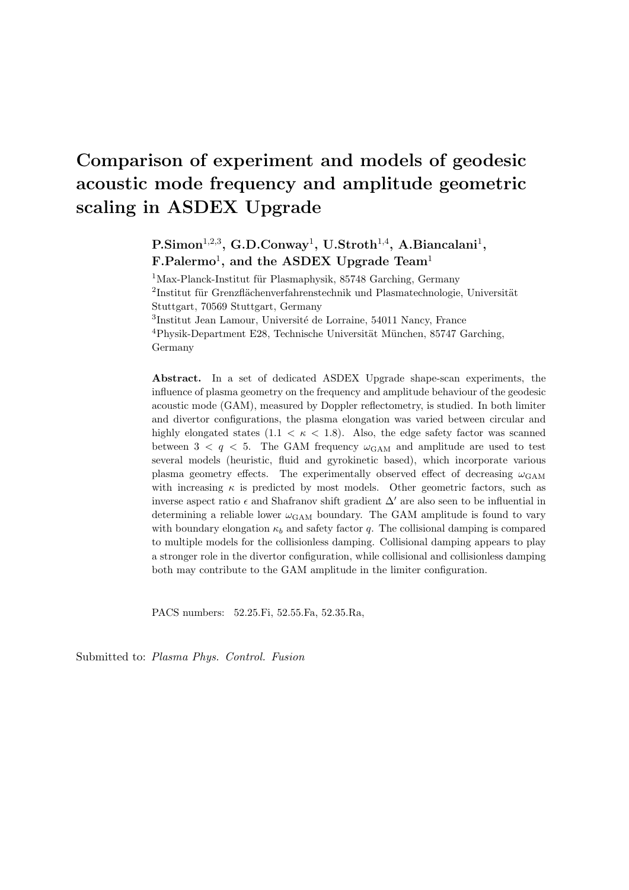# Comparison of experiment and models of geodesic acoustic mode frequency and amplitude geometric scaling in ASDEX Upgrade

 $P.Simon<sup>1,2,3</sup>, G.D.Conway<sup>1</sup>, U.Stroth<sup>1,4</sup>, A.Biancalani<sup>1</sup>,$  $F.Palermo<sup>1</sup>$ , and the ASDEX Upgrade Team<sup>1</sup>

 $1$ Max-Planck-Institut für Plasmaphysik, 85748 Garching, Germany <sup>2</sup>Institut für Grenzflächenverfahrenstechnik und Plasmatechnologie, Universität Stuttgart, 70569 Stuttgart, Germany <sup>3</sup>Institut Jean Lamour, Université de Lorraine, 54011 Nancy, France  $4$ Physik-Department E28, Technische Universität München, 85747 Garching, Germany

Abstract. In a set of dedicated ASDEX Upgrade shape-scan experiments, the influence of plasma geometry on the frequency and amplitude behaviour of the geodesic acoustic mode (GAM), measured by Doppler reflectometry, is studied. In both limiter and divertor configurations, the plasma elongation was varied between circular and highly elongated states  $(1.1 < \kappa < 1.8)$ . Also, the edge safety factor was scanned between  $3 < q < 5$ . The GAM frequency  $\omega_{\text{GAM}}$  and amplitude are used to test several models (heuristic, fluid and gyrokinetic based), which incorporate various plasma geometry effects. The experimentally observed effect of decreasing  $\omega_{\rm GAM}$ with increasing  $\kappa$  is predicted by most models. Other geometric factors, such as inverse aspect ratio  $\epsilon$  and Shafranov shift gradient  $\Delta'$  are also seen to be influential in determining a reliable lower  $\omega_{\text{GAM}}$  boundary. The GAM amplitude is found to vary with boundary elongation  $\kappa_b$  and safety factor q. The collisional damping is compared to multiple models for the collisionless damping. Collisional damping appears to play a stronger role in the divertor configuration, while collisional and collisionless damping both may contribute to the GAM amplitude in the limiter configuration.

PACS numbers: 52.25.Fi, 52.55.Fa, 52.35.Ra,

Submitted to: Plasma Phys. Control. Fusion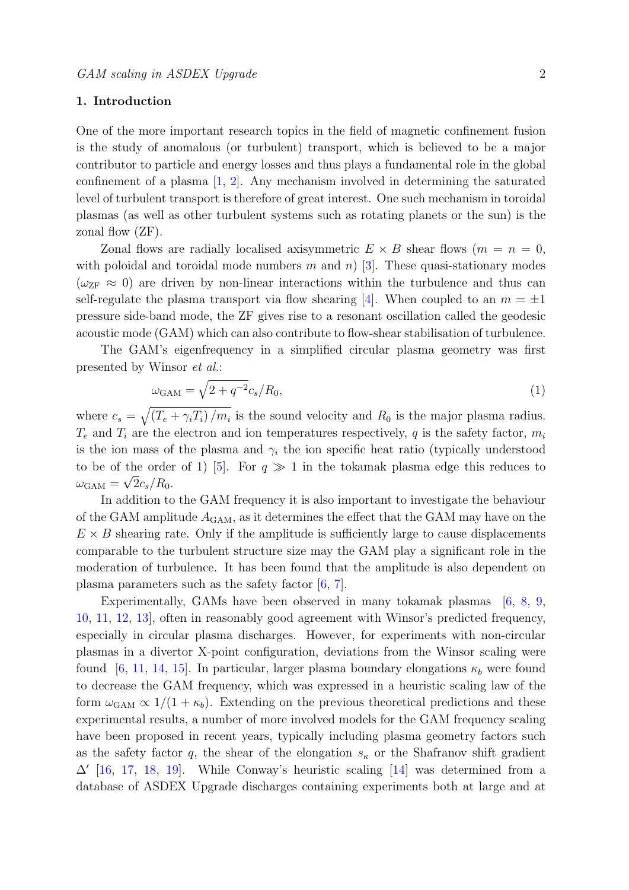# 1. Introduction

One of the more important research topics in the field of magnetic confinement fusion is the study of anomalous (or turbulent) transport, which is believed to be a major contributor to particle and energy losses and thus plays a fundamental role in the global confinement of a plasma [\[1,](#page-22-0) [2\]](#page-22-1). Any mechanism involved in determining the saturated level of turbulent transport is therefore of great interest. One such mechanism in toroidal plasmas (as well as other turbulent systems such as rotating planets or the sun) is the zonal flow (ZF).

Zonal flows are radially localised axisymmetric  $E \times B$  shear flows  $(m = n = 0,$ with poloidal and toroidal mode numbers m and n) [\[3\]](#page-22-2). These quasi-stationary modes  $(\omega_{\text{ZF}} \approx 0)$  are driven by non-linear interactions within the turbulence and thus can self-regulate the plasma transport via flow shearing [\[4\]](#page-22-3). When coupled to an  $m = \pm 1$ pressure side-band mode, the ZF gives rise to a resonant oscillation called the geodesic acoustic mode (GAM) which can also contribute to flow-shear stabilisation of turbulence.

The GAM's eigenfrequency in a simplified circular plasma geometry was first presented by Winsor et al.:

<span id="page-1-0"></span>
$$
\omega_{\text{GAM}} = \sqrt{2 + q^{-2}} c_s / R_0,\tag{1}
$$

where  $c_s = \sqrt{(T_e + \gamma_i T_i)/m_i}$  is the sound velocity and  $R_0$  is the major plasma radius.  $T_e$  and  $T_i$  are the electron and ion temperatures respectively, q is the safety factor,  $m_i$ is the ion mass of the plasma and  $\gamma_i$  the ion specific heat ratio (typically understood to be of the order of 1) [\[5\]](#page-22-4). For  $q \gg 1$  in the tokamak plasma edge this reduces to  $\omega_{\rm GAM}=\sqrt{2c_s/R_0}.$ 

In addition to the GAM frequency it is also important to investigate the behaviour of the GAM amplitude  $A_{\text{GAM}}$ , as it determines the effect that the GAM may have on the  $E \times B$  shearing rate. Only if the amplitude is sufficiently large to cause displacements comparable to the turbulent structure size may the GAM play a significant role in the moderation of turbulence. It has been found that the amplitude is also dependent on plasma parameters such as the safety factor  $[6, 7]$  $[6, 7]$  $[6, 7]$ .

Experimentally, GAMs have been observed in many tokamak plasmas [\[6,](#page-22-5) [8,](#page-22-7) [9,](#page-22-8) [10,](#page-22-9) [11,](#page-22-10) [12,](#page-22-11) [13\]](#page-22-12), often in reasonably good agreement with Winsor's predicted frequency, especially in circular plasma discharges. However, for experiments with non-circular plasmas in a divertor X-point configuration, deviations from the Winsor scaling were found [\[6,](#page-22-5) [11,](#page-22-10) [14,](#page-22-13) [15\]](#page-22-14). In particular, larger plasma boundary elongations  $\kappa_b$  were found to decrease the GAM frequency, which was expressed in a heuristic scaling law of the form  $\omega_{\text{GAM}} \propto 1/(1 + \kappa_b)$ . Extending on the previous theoretical predictions and these experimental results, a number of more involved models for the GAM frequency scaling have been proposed in recent years, typically including plasma geometry factors such as the safety factor q, the shear of the elongation  $s_{\kappa}$  or the Shafranov shift gradient  $\Delta'$  [\[16,](#page-22-15) [17,](#page-22-16) [18,](#page-22-17) [19\]](#page-22-18). While Conway's heuristic scaling [\[14\]](#page-22-13) was determined from a database of ASDEX Upgrade discharges containing experiments both at large and at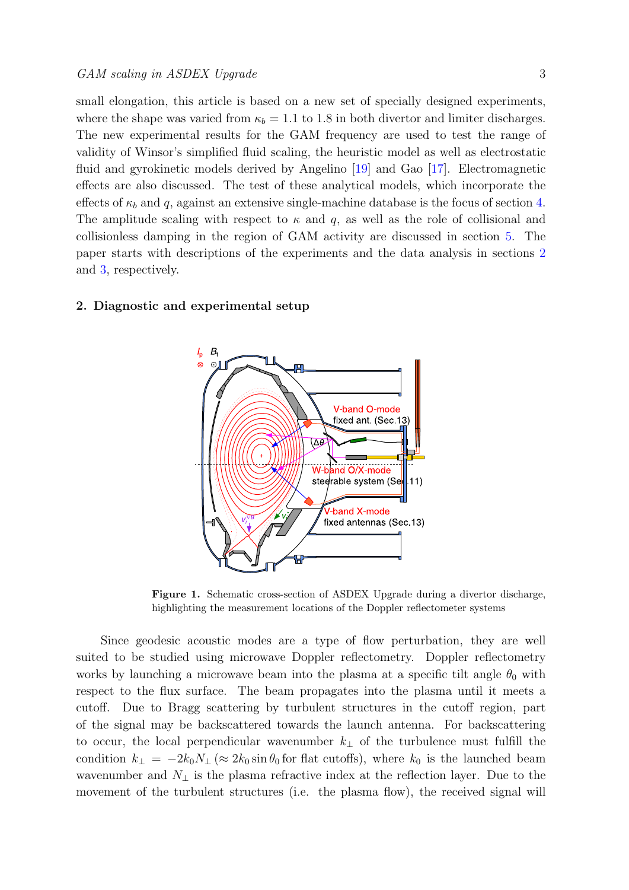small elongation, this article is based on a new set of specially designed experiments, where the shape was varied from  $\kappa_b = 1.1$  to 1.8 in both divertor and limiter discharges. The new experimental results for the GAM frequency are used to test the range of validity of Winsor's simplified fluid scaling, the heuristic model as well as electrostatic fluid and gyrokinetic models derived by Angelino [\[19\]](#page-22-18) and Gao [\[17\]](#page-22-16). Electromagnetic effects are also discussed. The test of these analytical models, which incorporate the effects of  $\kappa_b$  and q, against an extensive single-machine database is the focus of section [4.](#page-8-0) The amplitude scaling with respect to  $\kappa$  and q, as well as the role of collisional and collisionless damping in the region of GAM activity are discussed in section [5.](#page-13-0) The paper starts with descriptions of the experiments and the data analysis in sections [2](#page-2-0) and [3,](#page-6-0) respectively.

# <span id="page-2-0"></span>2. Diagnostic and experimental setup



<span id="page-2-1"></span>Figure 1. Schematic cross-section of ASDEX Upgrade during a divertor discharge, highlighting the measurement locations of the Doppler reflectometer systems

Since geodesic acoustic modes are a type of flow perturbation, they are well suited to be studied using microwave Doppler reflectometry. Doppler reflectometry works by launching a microwave beam into the plasma at a specific tilt angle  $\theta_0$  with respect to the flux surface. The beam propagates into the plasma until it meets a cutoff. Due to Bragg scattering by turbulent structures in the cutoff region, part of the signal may be backscattered towards the launch antenna. For backscattering to occur, the local perpendicular wavenumber  $k_{\perp}$  of the turbulence must fulfill the condition  $k_{\perp} = -2k_0N_{\perp} (\approx 2k_0 \sin \theta_0)$  for flat cutoffs), where  $k_0$  is the launched beam wavenumber and  $N_{\perp}$  is the plasma refractive index at the reflection layer. Due to the movement of the turbulent structures (i.e. the plasma flow), the received signal will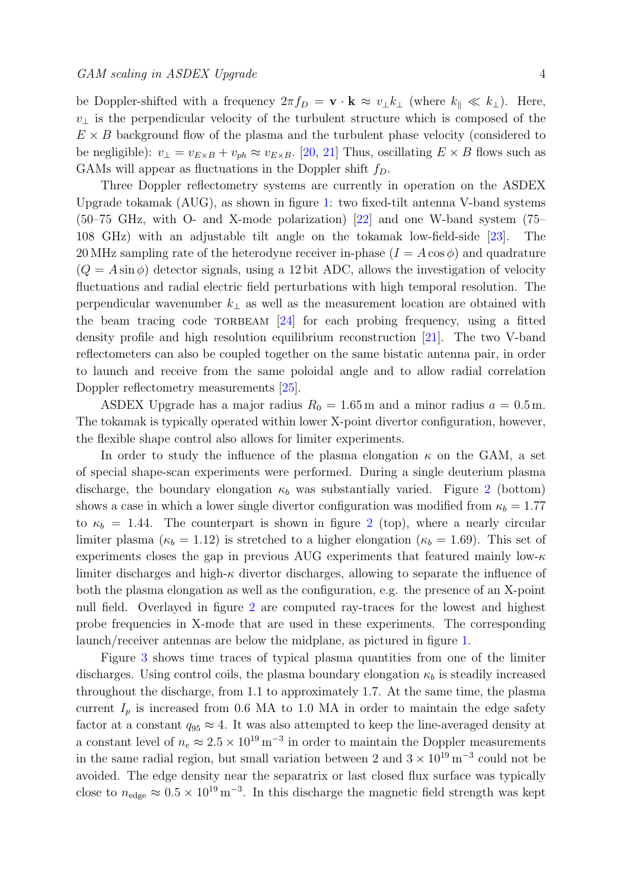be Doppler-shifted with a frequency  $2\pi f_D = \mathbf{v} \cdot \mathbf{k} \approx v_{\perp} k_{\perp}$  (where  $k_{\parallel} \ll k_{\perp}$ ). Here,  $v_{\perp}$  is the perpendicular velocity of the turbulent structure which is composed of the  $E \times B$  background flow of the plasma and the turbulent phase velocity (considered to be negligible):  $v_{\perp} = v_{E \times B} + v_{ph} \approx v_{E \times B}$ . [\[20,](#page-22-19) [21\]](#page-22-20) Thus, oscillating  $E \times B$  flows such as GAMs will appear as fluctuations in the Doppler shift  $f_D$ .

Three Doppler reflectometry systems are currently in operation on the ASDEX Upgrade tokamak (AUG), as shown in figure [1:](#page-2-1) two fixed-tilt antenna V-band systems (50–75 GHz, with O- and X-mode polarization) [\[22\]](#page-22-21) and one W-band system (75– 108 GHz) with an adjustable tilt angle on the tokamak low-field-side [\[23\]](#page-22-22). The 20 MHz sampling rate of the heterodyne receiver in-phase  $(I = A \cos \phi)$  and quadrature  $(Q = A \sin \phi)$  detector signals, using a 12 bit ADC, allows the investigation of velocity fluctuations and radial electric field perturbations with high temporal resolution. The perpendicular wavenumber  $k_{\perp}$  as well as the measurement location are obtained with the beam tracing code  $TORBEAM$  [\[24\]](#page-22-23) for each probing frequency, using a fitted density profile and high resolution equilibrium reconstruction [\[21\]](#page-22-20). The two V-band reflectometers can also be coupled together on the same bistatic antenna pair, in order to launch and receive from the same poloidal angle and to allow radial correlation Doppler reflectometry measurements [\[25\]](#page-22-24).

ASDEX Upgrade has a major radius  $R_0 = 1.65$  m and a minor radius  $a = 0.5$  m. The tokamak is typically operated within lower X-point divertor configuration, however, the flexible shape control also allows for limiter experiments.

In order to study the influence of the plasma elongation  $\kappa$  on the GAM, a set of special shape-scan experiments were performed. During a single deuterium plasma discharge, the boundary elongation  $\kappa_b$  was substantially varied. Figure [2](#page-4-0) (bottom) shows a case in which a lower single divertor configuration was modified from  $\kappa_b = 1.77$ to  $\kappa_b = 1.44$ . The counterpart is shown in figure [2](#page-4-0) (top), where a nearly circular limiter plasma ( $\kappa_b = 1.12$ ) is stretched to a higher elongation ( $\kappa_b = 1.69$ ). This set of experiments closes the gap in previous AUG experiments that featured mainly low- $\kappa$ limiter discharges and high- $\kappa$  divertor discharges, allowing to separate the influence of both the plasma elongation as well as the configuration, e.g. the presence of an X-point null field. Overlayed in figure [2](#page-4-0) are computed ray-traces for the lowest and highest probe frequencies in X-mode that are used in these experiments. The corresponding launch/receiver antennas are below the midplane, as pictured in figure [1.](#page-2-1)

Figure [3](#page-5-0) shows time traces of typical plasma quantities from one of the limiter discharges. Using control coils, the plasma boundary elongation  $\kappa_b$  is steadily increased throughout the discharge, from 1.1 to approximately 1.7. At the same time, the plasma current  $I_p$  is increased from 0.6 MA to 1.0 MA in order to maintain the edge safety factor at a constant  $q_{95} \approx 4$ . It was also attempted to keep the line-averaged density at a constant level of  $n_e \approx 2.5 \times 10^{19} \,\mathrm{m}^{-3}$  in order to maintain the Doppler measurements in the same radial region, but small variation between 2 and  $3 \times 10^{19}$  m<sup>-3</sup> could not be avoided. The edge density near the separatrix or last closed flux surface was typically close to  $n_{\text{edge}} \approx 0.5 \times 10^{19} \,\text{m}^{-3}$ . In this discharge the magnetic field strength was kept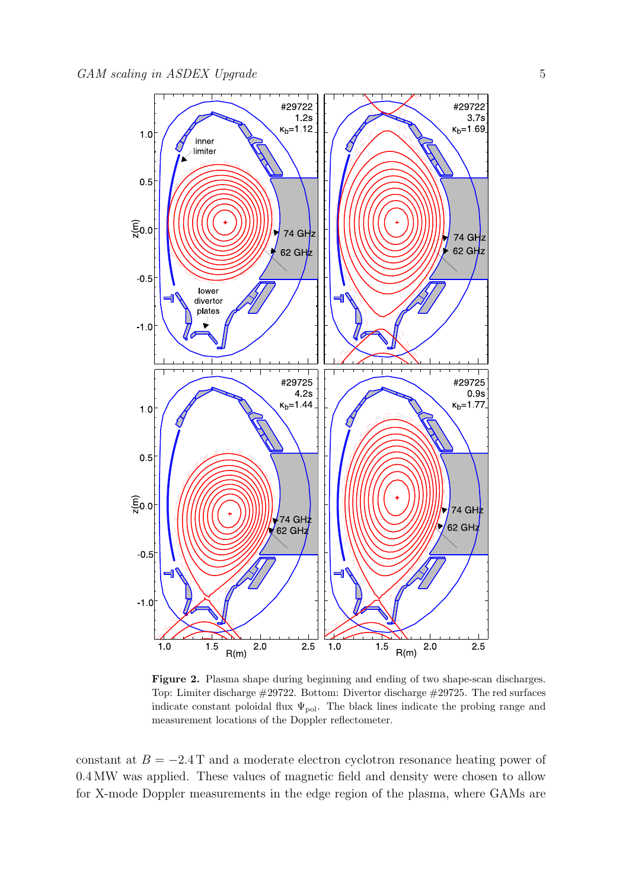

<span id="page-4-0"></span>Figure 2. Plasma shape during beginning and ending of two shape-scan discharges. Top: Limiter discharge #29722. Bottom: Divertor discharge #29725. The red surfaces indicate constant poloidal flux  $\Psi_{pol}$ . The black lines indicate the probing range and measurement locations of the Doppler reflectometer.

constant at  $B = -2.4$  T and a moderate electron cyclotron resonance heating power of 0.4 MW was applied. These values of magnetic field and density were chosen to allow for X-mode Doppler measurements in the edge region of the plasma, where GAMs are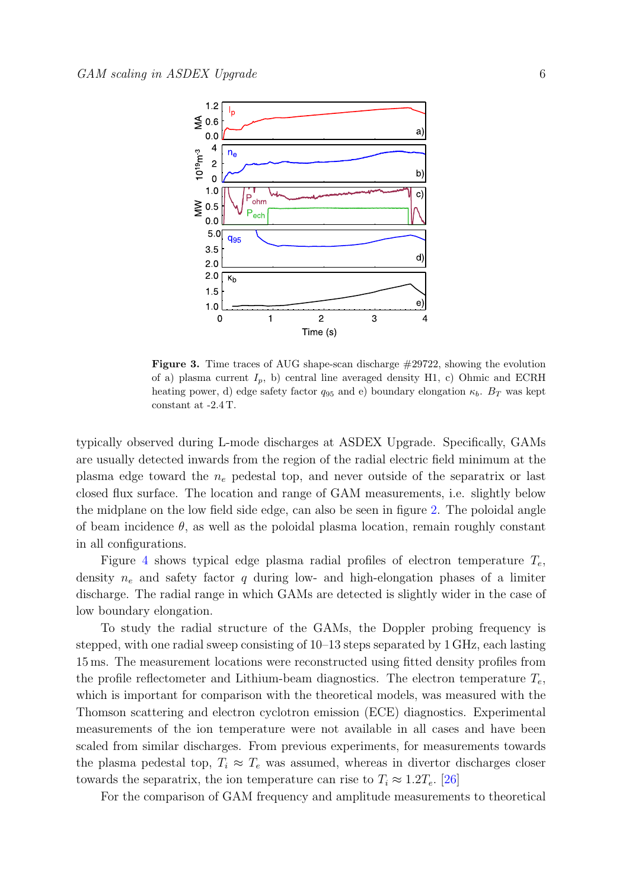

<span id="page-5-0"></span>Figure 3. Time traces of AUG shape-scan discharge #29722, showing the evolution of a) plasma current  $I_p$ , b) central line averaged density H1, c) Ohmic and ECRH heating power, d) edge safety factor  $q_{95}$  and e) boundary elongation  $\kappa_b$ .  $B_T$  was kept constant at -2.4 T.

typically observed during L-mode discharges at ASDEX Upgrade. Specifically, GAMs are usually detected inwards from the region of the radial electric field minimum at the plasma edge toward the  $n_e$  pedestal top, and never outside of the separatrix or last closed flux surface. The location and range of GAM measurements, i.e. slightly below the midplane on the low field side edge, can also be seen in figure [2.](#page-4-0) The poloidal angle of beam incidence  $\theta$ , as well as the poloidal plasma location, remain roughly constant in all configurations.

Figure [4](#page-6-1) shows typical edge plasma radial profiles of electron temperature  $T_e$ . density  $n_e$  and safety factor q during low- and high-elongation phases of a limiter discharge. The radial range in which GAMs are detected is slightly wider in the case of low boundary elongation.

To study the radial structure of the GAMs, the Doppler probing frequency is stepped, with one radial sweep consisting of 10–13 steps separated by 1 GHz, each lasting 15 ms. The measurement locations were reconstructed using fitted density profiles from the profile reflectometer and Lithium-beam diagnostics. The electron temperature  $T_e$ , which is important for comparison with the theoretical models, was measured with the Thomson scattering and electron cyclotron emission (ECE) diagnostics. Experimental measurements of the ion temperature were not available in all cases and have been scaled from similar discharges. From previous experiments, for measurements towards the plasma pedestal top,  $T_i \approx T_e$  was assumed, whereas in divertor discharges closer towards the separatrix, the ion temperature can rise to  $T_i \approx 1.2T_e$ . [\[26\]](#page-22-25)

For the comparison of GAM frequency and amplitude measurements to theoretical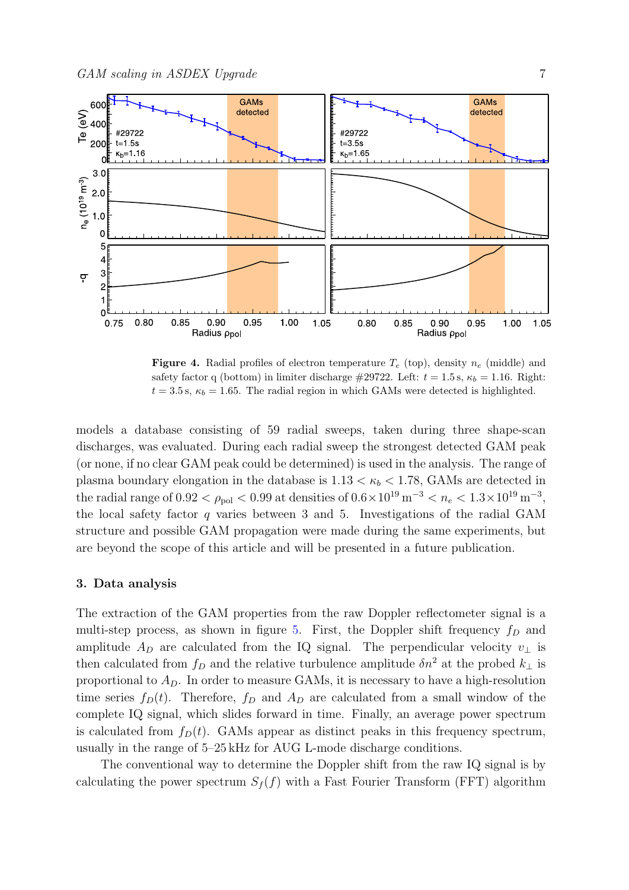

<span id="page-6-1"></span>**Figure 4.** Radial profiles of electron temperature  $T_e$  (top), density  $n_e$  (middle) and safety factor q (bottom) in limiter discharge #29722. Left:  $t = 1.5$  s,  $\kappa_b = 1.16$ . Right:  $t = 3.5$  s,  $\kappa_b = 1.65$ . The radial region in which GAMs were detected is highlighted.

models a database consisting of 59 radial sweeps, taken during three shape-scan discharges, was evaluated. During each radial sweep the strongest detected GAM peak (or none, if no clear GAM peak could be determined) is used in the analysis. The range of plasma boundary elongation in the database is  $1.13 < \kappa_b < 1.78$ , GAMs are detected in the radial range of 0.92  $\lt \rho_{pol}$   $\lt 0.99$  at densities of  $0.6 \times 10^{19}$  m<sup>-3</sup>  $\lt n_e$   $\lt 1.3 \times 10^{19}$  m<sup>-3</sup>, the local safety factor  $q$  varies between 3 and 5. Investigations of the radial GAM structure and possible GAM propagation were made during the same experiments, but are beyond the scope of this article and will be presented in a future publication.

## <span id="page-6-0"></span>3. Data analysis

The extraction of the GAM properties from the raw Doppler reflectometer signal is a multi-step process, as shown in figure [5.](#page-7-0) First, the Doppler shift frequency  $f_D$  and amplitude  $A_D$  are calculated from the IQ signal. The perpendicular velocity  $v_\perp$  is then calculated from  $f_D$  and the relative turbulence amplitude  $\delta n^2$  at the probed  $k_{\perp}$  is proportional to  $A<sub>D</sub>$ . In order to measure GAMs, it is necessary to have a high-resolution time series  $f_D(t)$ . Therefore,  $f_D$  and  $A_D$  are calculated from a small window of the complete IQ signal, which slides forward in time. Finally, an average power spectrum is calculated from  $f_D(t)$ . GAMs appear as distinct peaks in this frequency spectrum, usually in the range of 5–25 kHz for AUG L-mode discharge conditions.

The conventional way to determine the Doppler shift from the raw IQ signal is by calculating the power spectrum  $S_f(f)$  with a Fast Fourier Transform (FFT) algorithm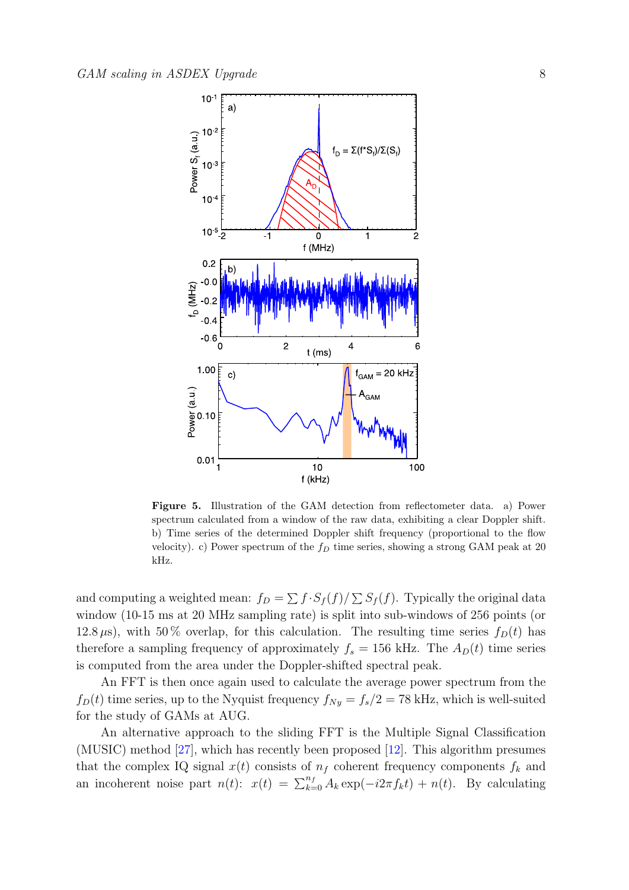

<span id="page-7-0"></span>Figure 5. Illustration of the GAM detection from reflectometer data. a) Power spectrum calculated from a window of the raw data, exhibiting a clear Doppler shift. b) Time series of the determined Doppler shift frequency (proportional to the flow velocity). c) Power spectrum of the  $f_D$  time series, showing a strong GAM peak at 20 kHz.

and computing a weighted mean:  $f_D = \sum f \cdot S_f(f) / \sum S_f(f)$ . Typically the original data window (10-15 ms at 20 MHz sampling rate) is split into sub-windows of 256 points (or 12.8  $\mu$ s), with 50% overlap, for this calculation. The resulting time series  $f_D(t)$  has therefore a sampling frequency of approximately  $f_s = 156$  kHz. The  $A_D(t)$  time series is computed from the area under the Doppler-shifted spectral peak.

An FFT is then once again used to calculate the average power spectrum from the  $f_D(t)$  time series, up to the Nyquist frequency  $f_{Ny} = f_s/2 = 78$  kHz, which is well-suited for the study of GAMs at AUG.

An alternative approach to the sliding FFT is the Multiple Signal Classification (MUSIC) method [\[27\]](#page-22-26), which has recently been proposed [\[12\]](#page-22-11). This algorithm presumes that the complex IQ signal  $x(t)$  consists of  $n_f$  coherent frequency components  $f_k$  and an incoherent noise part  $n(t)$ :  $x(t) = \sum_{k=0}^{n_f} A_k \exp(-i2\pi f_k t) + n(t)$ . By calculating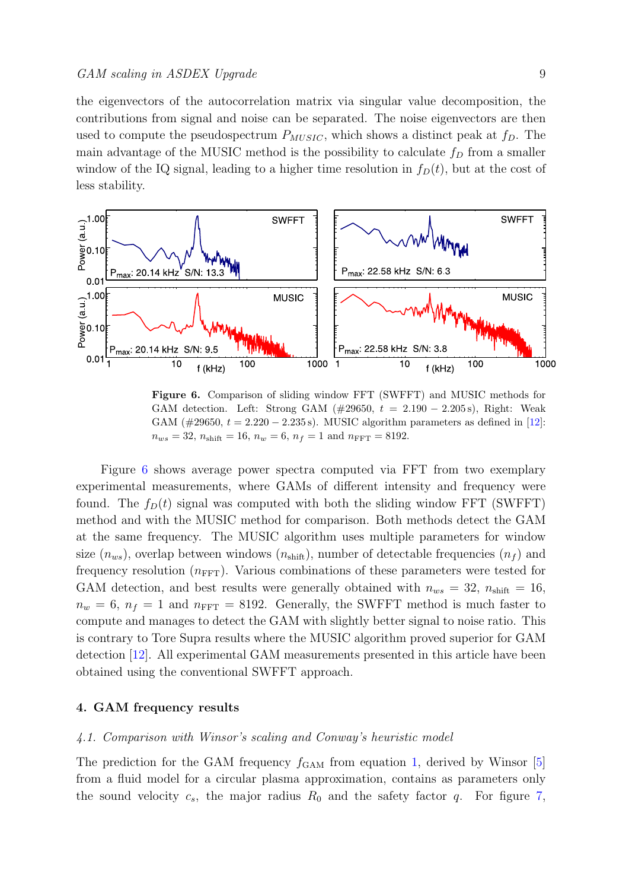the eigenvectors of the autocorrelation matrix via singular value decomposition, the contributions from signal and noise can be separated. The noise eigenvectors are then used to compute the pseudospectrum  $P_{MUSIC}$ , which shows a distinct peak at  $f_D$ . The main advantage of the MUSIC method is the possibility to calculate  $f<sub>D</sub>$  from a smaller window of the IQ signal, leading to a higher time resolution in  $f_D(t)$ , but at the cost of less stability.



<span id="page-8-1"></span>Figure 6. Comparison of sliding window FFT (SWFFT) and MUSIC methods for GAM detection. Left: Strong GAM ( $\#29650$ ,  $t = 2.190 - 2.205$  s), Right: Weak GAM  $(\#29650, t = 2.220 - 2.235 s)$ . MUSIC algorithm parameters as defined in [\[12\]](#page-22-11):  $n_{ws} = 32$ ,  $n_{\text{shift}} = 16$ ,  $n_w = 6$ ,  $n_f = 1$  and  $n_{\text{FFT}} = 8192$ .

Figure [6](#page-8-1) shows average power spectra computed via FFT from two exemplary experimental measurements, where GAMs of different intensity and frequency were found. The  $f_D(t)$  signal was computed with both the sliding window FFT (SWFFT) method and with the MUSIC method for comparison. Both methods detect the GAM at the same frequency. The MUSIC algorithm uses multiple parameters for window size  $(n_{ws})$ , overlap between windows  $(n_{shift})$ , number of detectable frequencies  $(n_f)$  and frequency resolution  $(n<sub>FFT</sub>)$ . Various combinations of these parameters were tested for GAM detection, and best results were generally obtained with  $n_{ws} = 32$ ,  $n_{\text{shift}} = 16$ ,  $n_w = 6$ ,  $n_f = 1$  and  $n_{\text{FFT}} = 8192$ . Generally, the SWFFT method is much faster to compute and manages to detect the GAM with slightly better signal to noise ratio. This is contrary to Tore Supra results where the MUSIC algorithm proved superior for GAM detection [\[12\]](#page-22-11). All experimental GAM measurements presented in this article have been obtained using the conventional SWFFT approach.

## <span id="page-8-0"></span>4. GAM frequency results

#### <span id="page-8-2"></span>4.1. Comparison with Winsor's scaling and Conway's heuristic model

The prediction for the GAM frequency  $f_{\text{GAM}}$  from equation [1,](#page-1-0) derived by Winsor [\[5\]](#page-22-4) from a fluid model for a circular plasma approximation, contains as parameters only the sound velocity  $c_s$ , the major radius  $R_0$  and the safety factor q. For figure [7,](#page-9-0)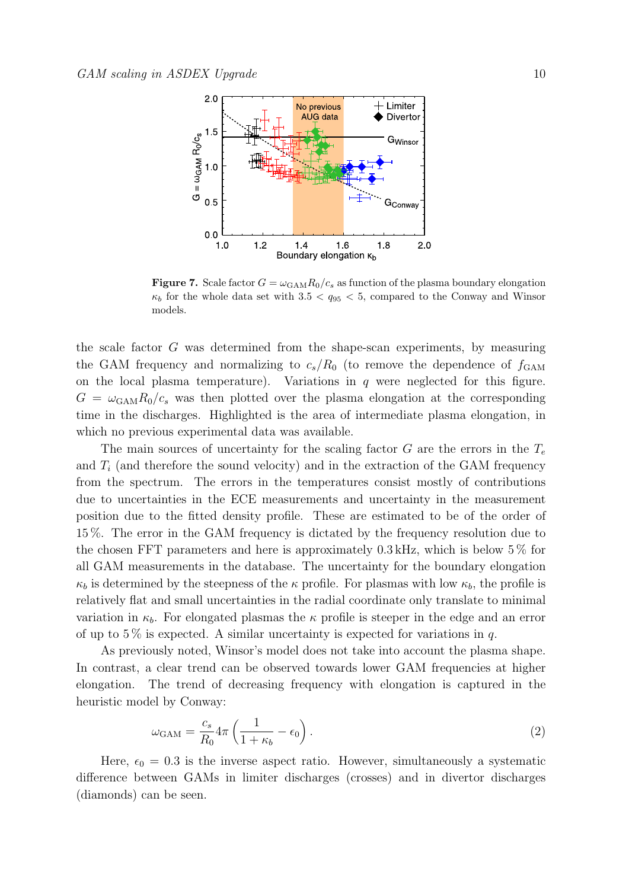

<span id="page-9-0"></span>Figure 7. Scale factor  $G = \omega_{\text{GAM}} R_0/c_s$  as function of the plasma boundary elongation  $\kappa_b$  for the whole data set with  $3.5 < q_{95} < 5$ , compared to the Conway and Winsor models.

the scale factor G was determined from the shape-scan experiments, by measuring the GAM frequency and normalizing to  $c_s/R_0$  (to remove the dependence of  $f_{\text{GAM}}$ on the local plasma temperature). Variations in  $q$  were neglected for this figure.  $G = \omega_{\text{GAM}} R_0/c_s$  was then plotted over the plasma elongation at the corresponding time in the discharges. Highlighted is the area of intermediate plasma elongation, in which no previous experimental data was available.

The main sources of uncertainty for the scaling factor  $G$  are the errors in the  $T_e$ and  $T_i$  (and therefore the sound velocity) and in the extraction of the GAM frequency from the spectrum. The errors in the temperatures consist mostly of contributions due to uncertainties in the ECE measurements and uncertainty in the measurement position due to the fitted density profile. These are estimated to be of the order of 15 %. The error in the GAM frequency is dictated by the frequency resolution due to the chosen FFT parameters and here is approximately  $0.3 \text{ kHz}$ , which is below  $5\%$  for all GAM measurements in the database. The uncertainty for the boundary elongation  $\kappa_b$  is determined by the steepness of the  $\kappa$  profile. For plasmas with low  $\kappa_b$ , the profile is relatively flat and small uncertainties in the radial coordinate only translate to minimal variation in  $\kappa_b$ . For elongated plasmas the  $\kappa$  profile is steeper in the edge and an error of up to 5% is expected. A similar uncertainty is expected for variations in q.

As previously noted, Winsor's model does not take into account the plasma shape. In contrast, a clear trend can be observed towards lower GAM frequencies at higher elongation. The trend of decreasing frequency with elongation is captured in the heuristic model by Conway:

$$
\omega_{\text{GAM}} = \frac{c_s}{R_0} 4\pi \left( \frac{1}{1 + \kappa_b} - \epsilon_0 \right). \tag{2}
$$

Here,  $\epsilon_0 = 0.3$  is the inverse aspect ratio. However, simultaneously a systematic difference between GAMs in limiter discharges (crosses) and in divertor discharges (diamonds) can be seen.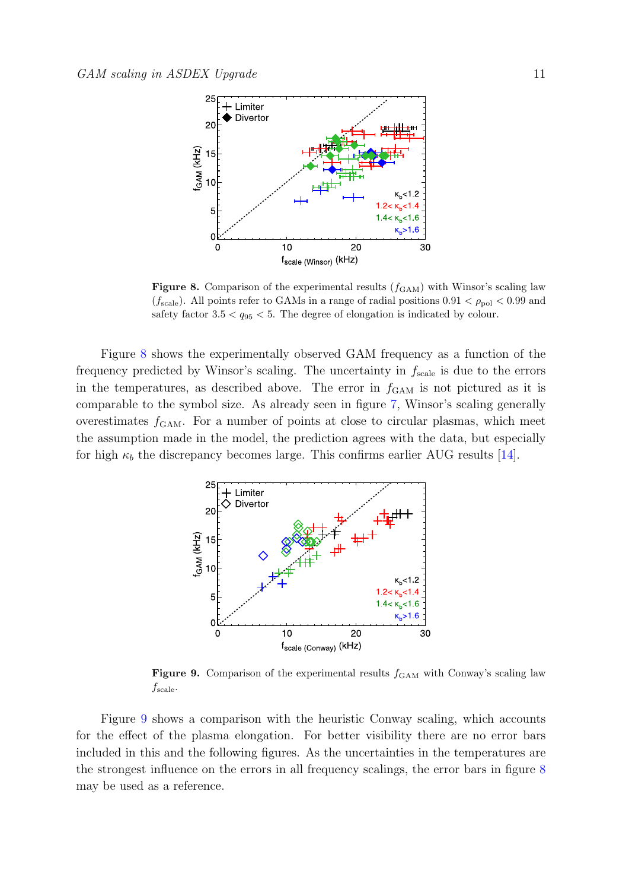

<span id="page-10-0"></span>Figure 8. Comparison of the experimental results  $(f<sub>GAM</sub>)$  with Winsor's scaling law ( $f_{\text{scale}}$ ). All points refer to GAMs in a range of radial positions  $0.91 < \rho_{\text{pol}} < 0.99$  and safety factor  $3.5 < q_{95} < 5$ . The degree of elongation is indicated by colour.

Figure [8](#page-10-0) shows the experimentally observed GAM frequency as a function of the frequency predicted by Winsor's scaling. The uncertainty in  $f_{\text{scale}}$  is due to the errors in the temperatures, as described above. The error in  $f_{\text{GAM}}$  is not pictured as it is comparable to the symbol size. As already seen in figure [7,](#page-9-0) Winsor's scaling generally overestimates  $f_{\text{GAM}}$ . For a number of points at close to circular plasmas, which meet the assumption made in the model, the prediction agrees with the data, but especially for high  $\kappa_b$  the discrepancy becomes large. This confirms earlier AUG results [\[14\]](#page-22-13).



<span id="page-10-1"></span>**Figure 9.** Comparison of the experimental results  $f_{\text{GAM}}$  with Conway's scaling law  $f_{\text{scale}}$ .

Figure [9](#page-10-1) shows a comparison with the heuristic Conway scaling, which accounts for the effect of the plasma elongation. For better visibility there are no error bars included in this and the following figures. As the uncertainties in the temperatures are the strongest influence on the errors in all frequency scalings, the error bars in figure [8](#page-10-0) may be used as a reference.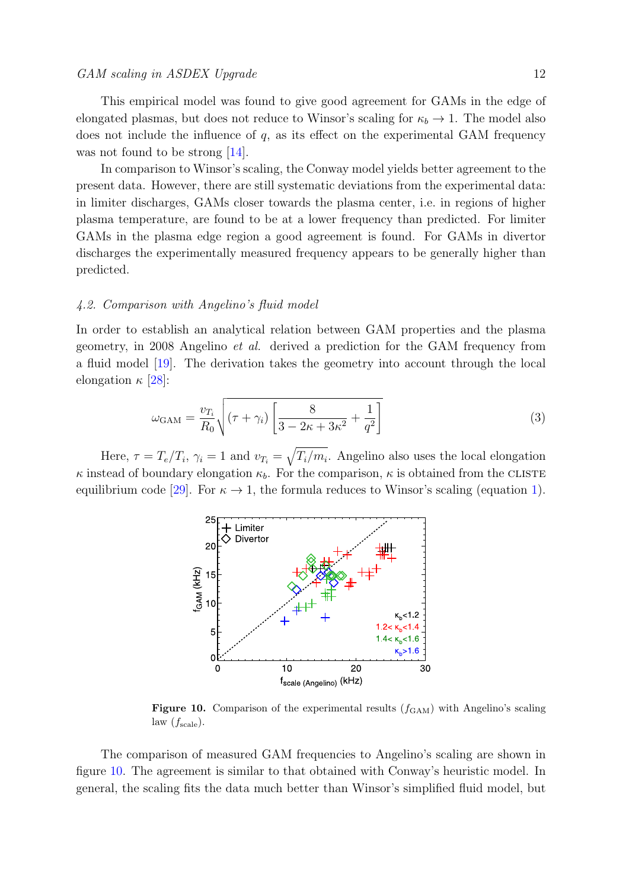This empirical model was found to give good agreement for GAMs in the edge of elongated plasmas, but does not reduce to Winsor's scaling for  $\kappa_b \to 1$ . The model also does not include the influence of  $q$ , as its effect on the experimental GAM frequency was not found to be strong [\[14\]](#page-22-13).

In comparison to Winsor's scaling, the Conway model yields better agreement to the present data. However, there are still systematic deviations from the experimental data: in limiter discharges, GAMs closer towards the plasma center, i.e. in regions of higher plasma temperature, are found to be at a lower frequency than predicted. For limiter GAMs in the plasma edge region a good agreement is found. For GAMs in divertor discharges the experimentally measured frequency appears to be generally higher than predicted.

#### 4.2. Comparison with Angelino's fluid model

In order to establish an analytical relation between GAM properties and the plasma geometry, in 2008 Angelino et al. derived a prediction for the GAM frequency from a fluid model [\[19\]](#page-22-18). The derivation takes the geometry into account through the local elongation  $\kappa$  [\[28\]](#page-22-27):

$$
\omega_{\text{GAM}} = \frac{v_{T_i}}{R_0} \sqrt{(\tau + \gamma_i) \left[ \frac{8}{3 - 2\kappa + 3\kappa^2} + \frac{1}{q^2} \right]}
$$
(3)

Here,  $\tau = T_e/T_i$ ,  $\gamma_i = 1$  and  $v_{T_i} = \sqrt{T_i/m_i}$ . Angelino also uses the local elongation  $\kappa$  instead of boundary elongation  $\kappa_b$ . For the comparison,  $\kappa$  is obtained from the CLISTE equilibrium code [\[29\]](#page-22-28). For  $\kappa \to 1$ , the formula reduces to Winsor's scaling (equation [1\)](#page-1-0).



<span id="page-11-0"></span>Figure 10. Comparison of the experimental results  $(f_{\text{GAM}})$  with Angelino's scaling law  $(f_{scale})$ .

The comparison of measured GAM frequencies to Angelino's scaling are shown in figure [10.](#page-11-0) The agreement is similar to that obtained with Conway's heuristic model. In general, the scaling fits the data much better than Winsor's simplified fluid model, but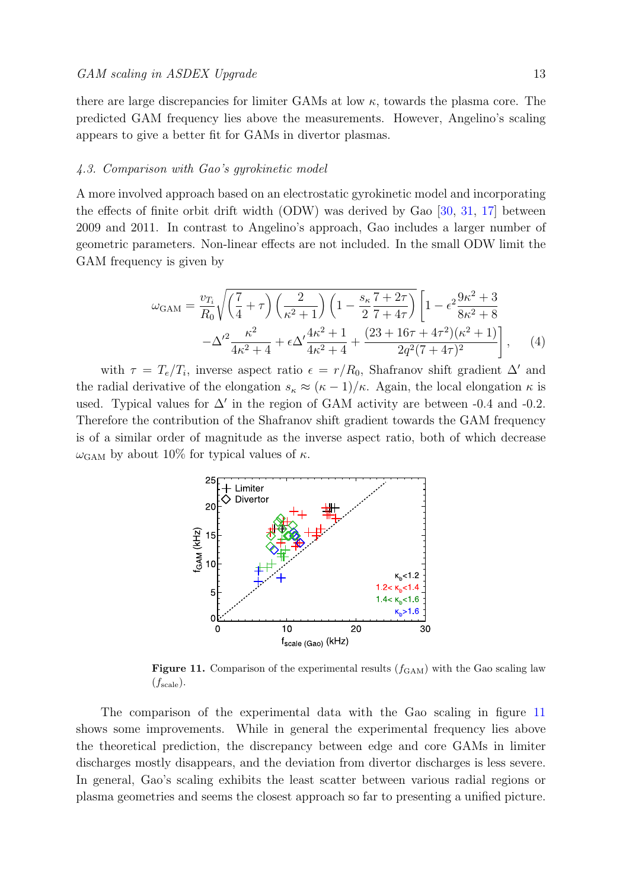there are large discrepancies for limiter GAMs at low  $\kappa$ , towards the plasma core. The predicted GAM frequency lies above the measurements. However, Angelino's scaling appears to give a better fit for GAMs in divertor plasmas.

#### 4.3. Comparison with Gao's gyrokinetic model

A more involved approach based on an electrostatic gyrokinetic model and incorporating the effects of finite orbit drift width (ODW) was derived by Gao [\[30,](#page-22-29) [31,](#page-22-30) [17\]](#page-22-16) between 2009 and 2011. In contrast to Angelino's approach, Gao includes a larger number of geometric parameters. Non-linear effects are not included. In the small ODW limit the GAM frequency is given by

$$
\omega_{\text{GAM}} = \frac{v_{T_i}}{R_0} \sqrt{\left(\frac{7}{4} + \tau\right) \left(\frac{2}{\kappa^2 + 1}\right) \left(1 - \frac{s_\kappa}{2} \frac{7 + 2\tau}{7 + 4\tau}\right)} \left[1 - \epsilon^2 \frac{9\kappa^2 + 3}{8\kappa^2 + 8} - \Delta'^2 \frac{\kappa^2}{4\kappa^2 + 4} + \epsilon \Delta' \frac{4\kappa^2 + 1}{4\kappa^2 + 4} + \frac{(23 + 16\tau + 4\tau^2)(\kappa^2 + 1)}{2q^2(7 + 4\tau)^2}\right], \quad (4)
$$

with  $\tau = T_e/T_i$ , inverse aspect ratio  $\epsilon = r/R_0$ , Shafranov shift gradient  $\Delta'$  and the radial derivative of the elongation  $s_{\kappa} \approx (\kappa - 1)/\kappa$ . Again, the local elongation  $\kappa$  is used. Typical values for  $\Delta'$  in the region of GAM activity are between -0.4 and -0.2. Therefore the contribution of the Shafranov shift gradient towards the GAM frequency is of a similar order of magnitude as the inverse aspect ratio, both of which decrease  $\omega_{\text{GAM}}$  by about 10% for typical values of  $\kappa$ .



<span id="page-12-0"></span>Figure 11. Comparison of the experimental results  $(f_{\text{GAM}})$  with the Gao scaling law  $(f_{scale}).$ 

The comparison of the experimental data with the Gao scaling in figure [11](#page-12-0) shows some improvements. While in general the experimental frequency lies above the theoretical prediction, the discrepancy between edge and core GAMs in limiter discharges mostly disappears, and the deviation from divertor discharges is less severe. In general, Gao's scaling exhibits the least scatter between various radial regions or plasma geometries and seems the closest approach so far to presenting a unified picture.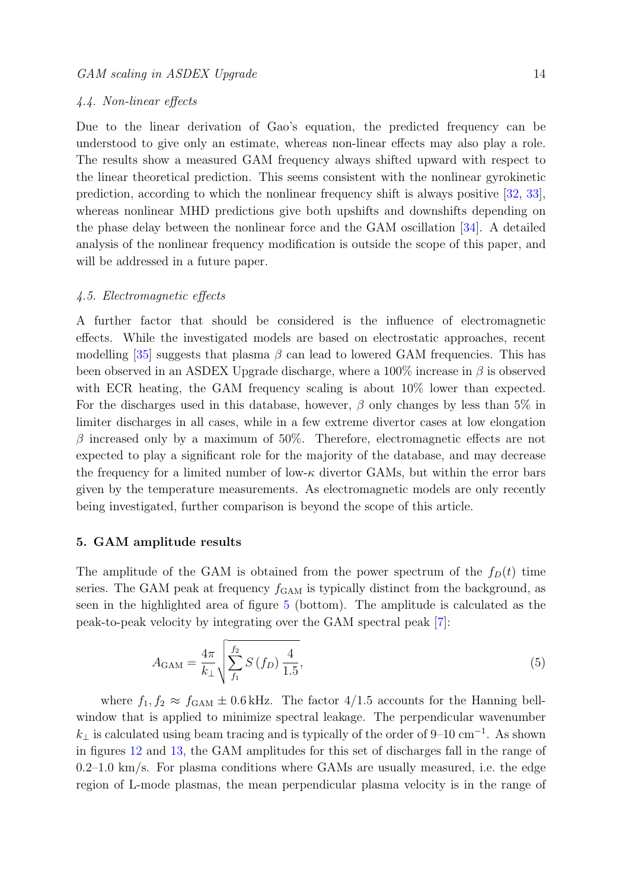#### 4.4. Non-linear effects

Due to the linear derivation of Gao's equation, the predicted frequency can be understood to give only an estimate, whereas non-linear effects may also play a role. The results show a measured GAM frequency always shifted upward with respect to the linear theoretical prediction. This seems consistent with the nonlinear gyrokinetic prediction, according to which the nonlinear frequency shift is always positive [\[32,](#page-22-31) [33\]](#page-22-32), whereas nonlinear MHD predictions give both upshifts and downshifts depending on the phase delay between the nonlinear force and the GAM oscillation [\[34\]](#page-22-33). A detailed analysis of the nonlinear frequency modification is outside the scope of this paper, and will be addressed in a future paper.

## 4.5. Electromagnetic effects

A further factor that should be considered is the influence of electromagnetic effects. While the investigated models are based on electrostatic approaches, recent modelling  $[35]$  suggests that plasma  $\beta$  can lead to lowered GAM frequencies. This has been observed in an ASDEX Upgrade discharge, where a  $100\%$  increase in  $\beta$  is observed with ECR heating, the GAM frequency scaling is about  $10\%$  lower than expected. For the discharges used in this database, however,  $\beta$  only changes by less than 5% in limiter discharges in all cases, while in a few extreme divertor cases at low elongation  $\beta$  increased only by a maximum of 50%. Therefore, electromagnetic effects are not expected to play a significant role for the majority of the database, and may decrease the frequency for a limited number of low- $\kappa$  divertor GAMs, but within the error bars given by the temperature measurements. As electromagnetic models are only recently being investigated, further comparison is beyond the scope of this article.

## <span id="page-13-0"></span>5. GAM amplitude results

The amplitude of the GAM is obtained from the power spectrum of the  $f_D(t)$  time series. The GAM peak at frequency  $f_{GAM}$  is typically distinct from the background, as seen in the highlighted area of figure [5](#page-7-0) (bottom). The amplitude is calculated as the peak-to-peak velocity by integrating over the GAM spectral peak [\[7\]](#page-22-6):

$$
A_{\text{GAM}} = \frac{4\pi}{k_{\perp}} \sqrt{\sum_{f_1}^{f_2} S\left(f_D\right) \frac{4}{1.5}},\tag{5}
$$

where  $f_1, f_2 \approx f_{\text{GAM}} \pm 0.6 \text{ kHz}$ . The factor 4/1.5 accounts for the Hanning bellwindow that is applied to minimize spectral leakage. The perpendicular wavenumber  $k_{\perp}$  is calculated using beam tracing and is typically of the order of 9–10 cm<sup>-1</sup>. As shown in figures [12](#page-14-0) and [13,](#page-15-0) the GAM amplitudes for this set of discharges fall in the range of 0.2–1.0 km/s. For plasma conditions where GAMs are usually measured, i.e. the edge region of L-mode plasmas, the mean perpendicular plasma velocity is in the range of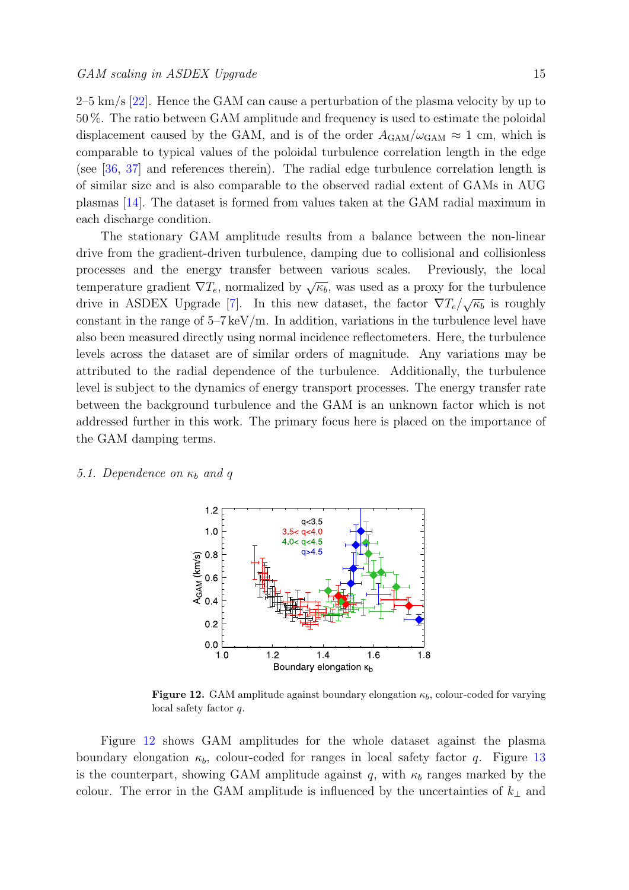$2-5 \text{ km/s}$  [\[22\]](#page-22-21). Hence the GAM can cause a perturbation of the plasma velocity by up to 50 %. The ratio between GAM amplitude and frequency is used to estimate the poloidal displacement caused by the GAM, and is of the order  $A_{\text{GAM}}/\omega_{\text{GAM}} \approx 1$  cm, which is comparable to typical values of the poloidal turbulence correlation length in the edge (see [\[36,](#page-22-35) [37\]](#page-22-36) and references therein). The radial edge turbulence correlation length is of similar size and is also comparable to the observed radial extent of GAMs in AUG plasmas [\[14\]](#page-22-13). The dataset is formed from values taken at the GAM radial maximum in each discharge condition.

The stationary GAM amplitude results from a balance between the non-linear drive from the gradient-driven turbulence, damping due to collisional and collisionless processes and the energy transfer between various scales. Previously, the local temperature gradient  $\nabla T_e$ , normalized by  $\sqrt{\kappa_b}$ , was used as a proxy for the turbulence drive in ASDEX Upgrade [\[7\]](#page-22-6). In this new dataset, the factor  $\nabla T_e / \sqrt{\kappa_b}$  is roughly constant in the range of  $5-7 \,\text{keV/m}$ . In addition, variations in the turbulence level have also been measured directly using normal incidence reflectometers. Here, the turbulence levels across the dataset are of similar orders of magnitude. Any variations may be attributed to the radial dependence of the turbulence. Additionally, the turbulence level is subject to the dynamics of energy transport processes. The energy transfer rate between the background turbulence and the GAM is an unknown factor which is not addressed further in this work. The primary focus here is placed on the importance of the GAM damping terms.

#### 5.1. Dependence on  $\kappa_b$  and q



<span id="page-14-0"></span>**Figure 12.** GAM amplitude against boundary elongation  $\kappa_b$ , colour-coded for varying local safety factor q.

Figure [12](#page-14-0) shows GAM amplitudes for the whole dataset against the plasma boundary elongation  $\kappa_b$ , colour-coded for ranges in local safety factor q. Figure [13](#page-15-0) is the counterpart, showing GAM amplitude against q, with  $\kappa_b$  ranges marked by the colour. The error in the GAM amplitude is influenced by the uncertainties of  $k_{\perp}$  and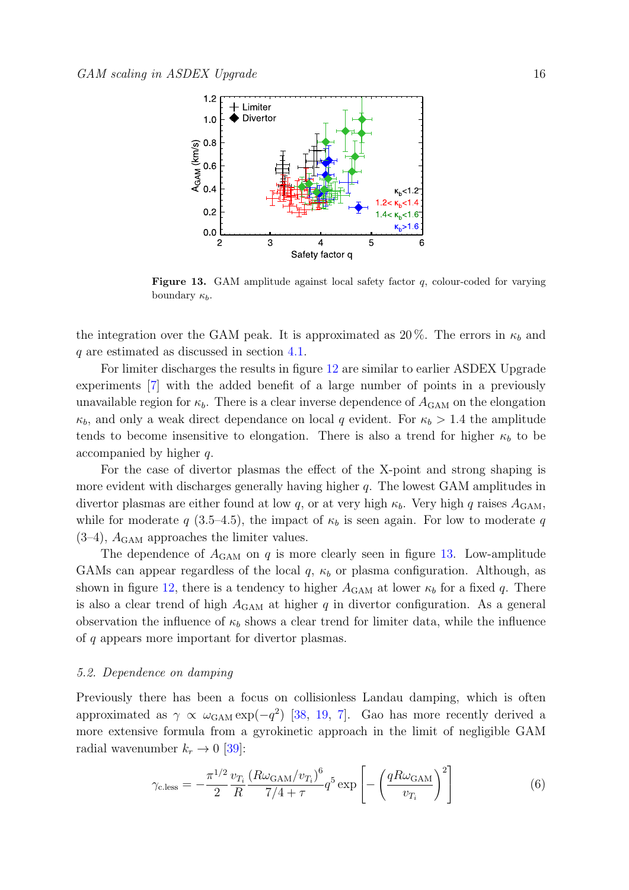

<span id="page-15-0"></span>**Figure 13.** GAM amplitude against local safety factor  $q$ , colour-coded for varying boundary  $\kappa_b$ .

the integration over the GAM peak. It is approximated as  $20\%$ . The errors in  $\kappa_b$  and q are estimated as discussed in section [4.1.](#page-8-2)

For limiter discharges the results in figure [12](#page-14-0) are similar to earlier ASDEX Upgrade experiments [\[7\]](#page-22-6) with the added benefit of a large number of points in a previously unavailable region for  $\kappa_b$ . There is a clear inverse dependence of  $A_{\text{GAM}}$  on the elongation  $\kappa_b$ , and only a weak direct dependance on local q evident. For  $\kappa_b > 1.4$  the amplitude tends to become insensitive to elongation. There is also a trend for higher  $\kappa_b$  to be accompanied by higher q.

For the case of divertor plasmas the effect of the X-point and strong shaping is more evident with discharges generally having higher q. The lowest GAM amplitudes in divertor plasmas are either found at low q, or at very high  $\kappa_b$ . Very high q raises  $A_{\text{GAM}}$ , while for moderate q (3.5–4.5), the impact of  $\kappa_b$  is seen again. For low to moderate q  $(3-4)$ ,  $A<sub>GAM</sub>$  approaches the limiter values.

The dependence of  $A_{\text{GAM}}$  on q is more clearly seen in figure [13.](#page-15-0) Low-amplitude GAMs can appear regardless of the local  $q, \kappa_b$  or plasma configuration. Although, as shown in figure [12,](#page-14-0) there is a tendency to higher  $A_{\text{GAM}}$  at lower  $\kappa_b$  for a fixed q. There is also a clear trend of high  $A_{\text{GAM}}$  at higher q in divertor configuration. As a general observation the influence of  $\kappa_b$  shows a clear trend for limiter data, while the influence of q appears more important for divertor plasmas.

#### 5.2. Dependence on damping

Previously there has been a focus on collisionless Landau damping, which is often approximated as  $\gamma \propto \omega_{\text{GAM}} \exp(-q^2)$  [\[38,](#page-22-37) [19,](#page-22-18) [7\]](#page-22-6). Gao has more recently derived a more extensive formula from a gyrokinetic approach in the limit of negligible GAM radial wavenumber  $k_r \rightarrow 0$  [\[39\]](#page-22-38):

<span id="page-15-1"></span>
$$
\gamma_{\text{c.less}} = -\frac{\pi^{1/2}}{2} \frac{\upsilon_{T_i}}{R} \frac{\left(R\omega_{\text{GAM}}/\upsilon_{T_i}\right)^6}{7/4 + \tau} q^5 \exp\left[-\left(\frac{qR\omega_{\text{GAM}}}{\upsilon_{T_i}}\right)^2\right] \tag{6}
$$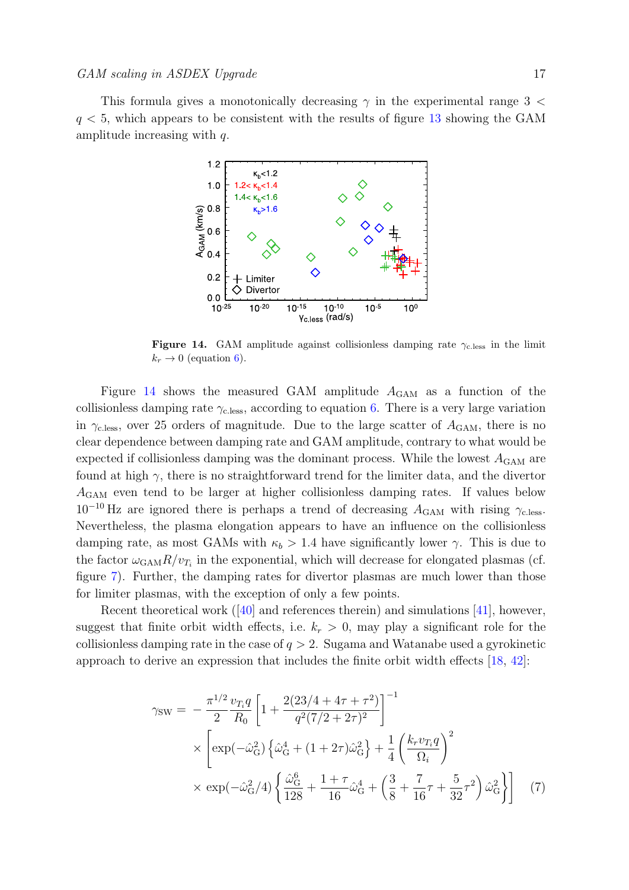This formula gives a monotonically decreasing  $\gamma$  in the experimental range 3  $\lt$  $q < 5$ , which appears to be consistent with the results of figure [13](#page-15-0) showing the GAM amplitude increasing with q.



<span id="page-16-0"></span>Figure 14. GAM amplitude against collisionless damping rate  $\gamma_{\rm c. less}$  in the limit  $k_r \rightarrow 0$  (equation [6\)](#page-15-1).

Figure [14](#page-16-0) shows the measured GAM amplitude  $A_{\text{GAM}}$  as a function of the collisionless damping rate  $\gamma_{\text{c.less}}$ , according to equation [6.](#page-15-1) There is a very large variation in  $\gamma_{\text{c.less}}$ , over 25 orders of magnitude. Due to the large scatter of  $A_{\text{GAM}}$ , there is no clear dependence between damping rate and GAM amplitude, contrary to what would be expected if collisionless damping was the dominant process. While the lowest  $A_{\text{GAM}}$  are found at high  $\gamma$ , there is no straightforward trend for the limiter data, and the divertor AGAM even tend to be larger at higher collisionless damping rates. If values below  $10^{-10}$  Hz are ignored there is perhaps a trend of decreasing  $A_{\text{GAM}}$  with rising  $\gamma_{\text{c.less}}$ . Nevertheless, the plasma elongation appears to have an influence on the collisionless damping rate, as most GAMs with  $\kappa_b > 1.4$  have significantly lower  $\gamma$ . This is due to the factor  $\omega_{\text{GAM}} R/v_{T_i}$  in the exponential, which will decrease for elongated plasmas (cf. figure [7\)](#page-9-0). Further, the damping rates for divertor plasmas are much lower than those for limiter plasmas, with the exception of only a few points.

Recent theoretical work ([\[40\]](#page-22-39) and references therein) and simulations [\[41\]](#page-22-40), however, suggest that finite orbit width effects, i.e.  $k_r > 0$ , may play a significant role for the collisionless damping rate in the case of  $q > 2$ . Sugama and Watanabe used a gyrokinetic approach to derive an expression that includes the finite orbit width effects [\[18,](#page-22-17) [42\]](#page-22-41):

<span id="page-16-1"></span>
$$
\gamma_{SW} = -\frac{\pi^{1/2}}{2} \frac{v_{T_i} q}{R_0} \left[ 1 + \frac{2(23/4 + 4\tau + \tau^2)}{q^2 (7/2 + 2\tau)^2} \right]^{-1} \times \left[ \exp(-\hat{\omega}_{G}^2) \left\{ \hat{\omega}_{G}^4 + (1 + 2\tau) \hat{\omega}_{G}^2 \right\} + \frac{1}{4} \left( \frac{k_r v_{T_i} q}{\Omega_i} \right)^2 \right] \times \exp(-\hat{\omega}_{G}^2/4) \left\{ \frac{\hat{\omega}_{G}^6}{128} + \frac{1 + \tau}{16} \hat{\omega}_{G}^4 + \left( \frac{3}{8} + \frac{7}{16}\tau + \frac{5}{32}\tau^2 \right) \hat{\omega}_{G}^2 \right\} \right] (7)
$$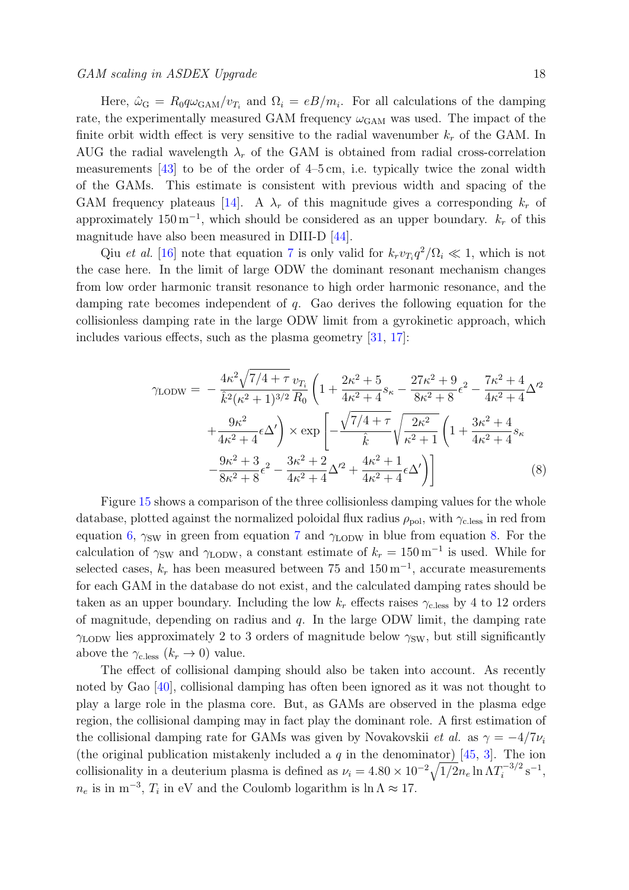# GAM scaling in ASDEX Upgrade 18

Here,  $\hat{\omega}_{\rm G} = R_0 q \omega_{\rm GAM} / v_{T_i}$  and  $\Omega_i = eB/m_i$ . For all calculations of the damping rate, the experimentally measured GAM frequency  $\omega_{\rm GAM}$  was used. The impact of the finite orbit width effect is very sensitive to the radial wavenumber  $k_r$  of the GAM. In AUG the radial wavelength  $\lambda_r$  of the GAM is obtained from radial cross-correlation measurements [\[43\]](#page-22-42) to be of the order of 4–5 cm, i.e. typically twice the zonal width of the GAMs. This estimate is consistent with previous width and spacing of the GAM frequency plateaus [\[14\]](#page-22-13). A  $\lambda_r$  of this magnitude gives a corresponding  $k_r$  of approximately  $150 \,\mathrm{m}^{-1}$ , which should be considered as an upper boundary.  $k_r$  of this magnitude have also been measured in DIII-D [\[44\]](#page-22-43).

Qiu et al. [\[16\]](#page-22-15) note that equation [7](#page-16-1) is only valid for  $k_r v_{T_i} q^2 / \Omega_i \ll 1$ , which is not the case here. In the limit of large ODW the dominant resonant mechanism changes from low order harmonic transit resonance to high order harmonic resonance, and the damping rate becomes independent of q. Gao derives the following equation for the collisionless damping rate in the large ODW limit from a gyrokinetic approach, which includes various effects, such as the plasma geometry [\[31,](#page-22-30) [17\]](#page-22-16):

<span id="page-17-0"></span>
$$
\gamma_{\text{LODW}} = -\frac{4\kappa^2 \sqrt{7/4 + \tau}}{\hat{k}^2 (\kappa^2 + 1)^{3/2}} \frac{v_{T_i}}{R_0} \left( 1 + \frac{2\kappa^2 + 5}{4\kappa^2 + 4} s_\kappa - \frac{27\kappa^2 + 9}{8\kappa^2 + 8} \epsilon^2 - \frac{7\kappa^2 + 4}{4\kappa^2 + 4} \Delta'^2 + \frac{9\kappa^2}{4\kappa^2 + 4} \epsilon \Delta' \right) \times \exp\left[ -\frac{\sqrt{7/4 + \tau}}{\hat{k}} \sqrt{\frac{2\kappa^2}{\kappa^2 + 1}} \left( 1 + \frac{3\kappa^2 + 4}{4\kappa^2 + 4} s_\kappa - \frac{9\kappa^2 + 3}{8\kappa^2 + 8} \epsilon^2 - \frac{3\kappa^2 + 2}{4\kappa^2 + 4} \Delta'^2 + \frac{4\kappa^2 + 1}{4\kappa^2 + 4} \epsilon \Delta' \right) \right]
$$
(8)

Figure [15](#page-18-0) shows a comparison of the three collisionless damping values for the whole database, plotted against the normalized poloidal flux radius  $\rho_{pol}$ , with  $\gamma_{\text{c.less}}$  in red from equation [6,](#page-15-1)  $\gamma_{SW}$  in green from equation [7](#page-16-1) and  $\gamma_{\text{LODW}}$  in blue from equation [8.](#page-17-0) For the calculation of  $\gamma_{SW}$  and  $\gamma_{\text{LODW}}$ , a constant estimate of  $k_r = 150 \,\mathrm{m}^{-1}$  is used. While for selected cases,  $k_r$  has been measured between 75 and  $150 \,\mathrm{m}^{-1}$ , accurate measurements for each GAM in the database do not exist, and the calculated damping rates should be taken as an upper boundary. Including the low  $k_r$  effects raises  $\gamma_{\text{c,less}}$  by 4 to 12 orders of magnitude, depending on radius and  $q$ . In the large ODW limit, the damping rate  $\gamma_{\text{LODW}}$  lies approximately 2 to 3 orders of magnitude below  $\gamma_{\text{SW}}$ , but still significantly above the  $\gamma_{\text{c.less}} (k_r \rightarrow 0)$  value.

The effect of collisional damping should also be taken into account. As recently noted by Gao [\[40\]](#page-22-39), collisional damping has often been ignored as it was not thought to play a large role in the plasma core. But, as GAMs are observed in the plasma edge region, the collisional damping may in fact play the dominant role. A first estimation of the collisional damping rate for GAMs was given by Novakovskii *et al.* as  $\gamma = -4/7\nu$ (the original publication mistakenly included a  $q$  in the denominator) [\[45,](#page-22-44) [3\]](#page-22-2). The ion collisionality in a deuterium plasma is defined as  $\nu_i = 4.80 \times 10^{-2} \sqrt{1/2} n_e \ln \Lambda T_i^{-3/2}$  $i^{-3/2}$  s<sup>-1</sup>,  $n_e$  is in m<sup>-3</sup>,  $T_i$  in eV and the Coulomb logarithm is  $\ln \Lambda \approx 17$ .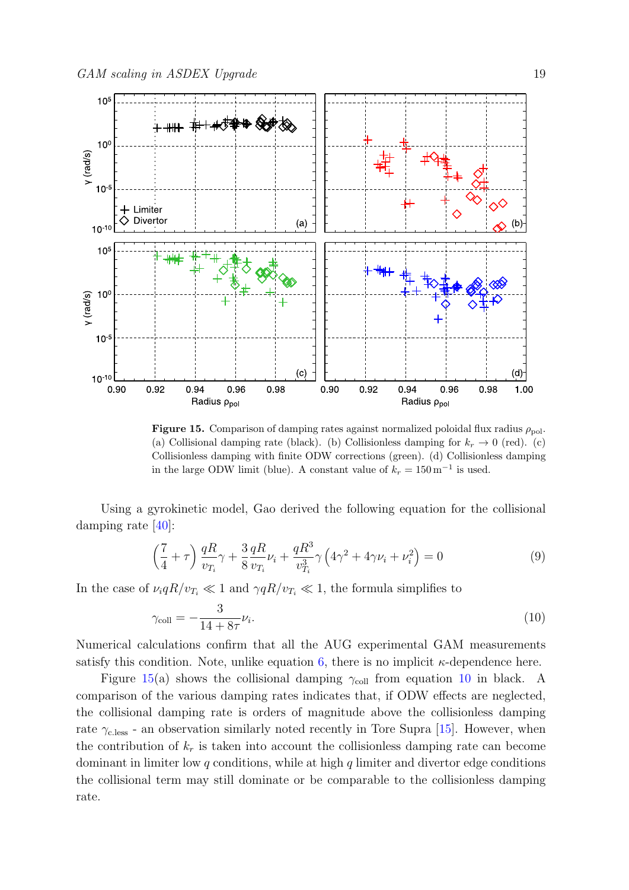

<span id="page-18-0"></span>**Figure 15.** Comparison of damping rates against normalized poloidal flux radius  $\rho_{\text{pol}}$ . (a) Collisional damping rate (black). (b) Collisionless damping for  $k_r \to 0$  (red). (c) Collisionless damping with finite ODW corrections (green). (d) Collisionless damping in the large ODW limit (blue). A constant value of  $k_r = 150 \,\mathrm{m}^{-1}$  is used.

Using a gyrokinetic model, Gao derived the following equation for the collisional damping rate [\[40\]](#page-22-39):

$$
\left(\frac{7}{4} + \tau\right) \frac{qR}{v_{T_i}} \gamma + \frac{3}{8} \frac{qR}{v_{T_i}} \nu_i + \frac{qR^3}{v_{T_i}^3} \gamma \left(4\gamma^2 + 4\gamma \nu_i + \nu_i^2\right) = 0
$$
\n(9)

In the case of  $\nu_i q R/v_{T_i} \ll 1$  and  $\gamma q R/v_{T_i} \ll 1$ , the formula simplifies to

<span id="page-18-1"></span>
$$
\gamma_{\text{coll}} = -\frac{3}{14 + 8\tau} \nu_i. \tag{10}
$$

Numerical calculations confirm that all the AUG experimental GAM measurements satisfy this condition. Note, unlike equation [6,](#page-15-1) there is no implicit  $\kappa$ -dependence here.

Figure [15\(](#page-18-0)a) shows the collisional damping  $\gamma_{\text{coll}}$  from equation [10](#page-18-1) in black. A comparison of the various damping rates indicates that, if ODW effects are neglected, the collisional damping rate is orders of magnitude above the collisionless damping rate  $\gamma_{\text{c.less}}$  - an observation similarly noted recently in Tore Supra [\[15\]](#page-22-14). However, when the contribution of  $k_r$  is taken into account the collisionless damping rate can become dominant in limiter low  $q$  conditions, while at high  $q$  limiter and divertor edge conditions the collisional term may still dominate or be comparable to the collisionless damping rate.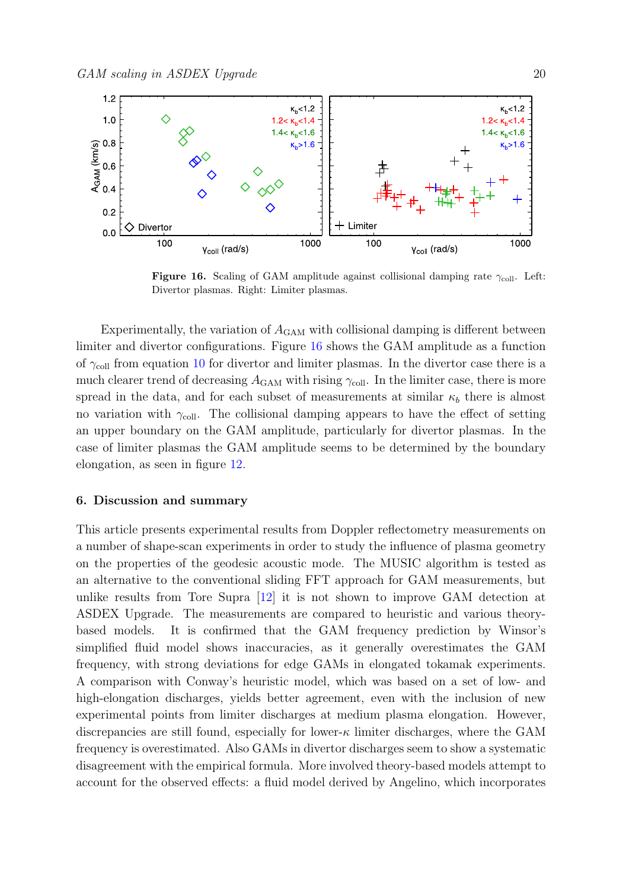

<span id="page-19-0"></span>Figure 16. Scaling of GAM amplitude against collisional damping rate  $\gamma_{\text{coll}}$ . Left: Divertor plasmas. Right: Limiter plasmas.

Experimentally, the variation of  $A_{\text{GAM}}$  with collisional damping is different between limiter and divertor configurations. Figure [16](#page-19-0) shows the GAM amplitude as a function of  $\gamma_{\text{coll}}$  from equation [10](#page-18-1) for divertor and limiter plasmas. In the divertor case there is a much clearer trend of decreasing  $A_{\text{GAM}}$  with rising  $\gamma_{\text{coll}}$ . In the limiter case, there is more spread in the data, and for each subset of measurements at similar  $\kappa_b$  there is almost no variation with  $\gamma_{\text{coll}}$ . The collisional damping appears to have the effect of setting an upper boundary on the GAM amplitude, particularly for divertor plasmas. In the case of limiter plasmas the GAM amplitude seems to be determined by the boundary elongation, as seen in figure [12.](#page-14-0)

## 6. Discussion and summary

This article presents experimental results from Doppler reflectometry measurements on a number of shape-scan experiments in order to study the influence of plasma geometry on the properties of the geodesic acoustic mode. The MUSIC algorithm is tested as an alternative to the conventional sliding FFT approach for GAM measurements, but unlike results from Tore Supra [\[12\]](#page-22-11) it is not shown to improve GAM detection at ASDEX Upgrade. The measurements are compared to heuristic and various theorybased models. It is confirmed that the GAM frequency prediction by Winsor's simplified fluid model shows inaccuracies, as it generally overestimates the GAM frequency, with strong deviations for edge GAMs in elongated tokamak experiments. A comparison with Conway's heuristic model, which was based on a set of low- and high-elongation discharges, yields better agreement, even with the inclusion of new experimental points from limiter discharges at medium plasma elongation. However, discrepancies are still found, especially for lower- $\kappa$  limiter discharges, where the GAM frequency is overestimated. Also GAMs in divertor discharges seem to show a systematic disagreement with the empirical formula. More involved theory-based models attempt to account for the observed effects: a fluid model derived by Angelino, which incorporates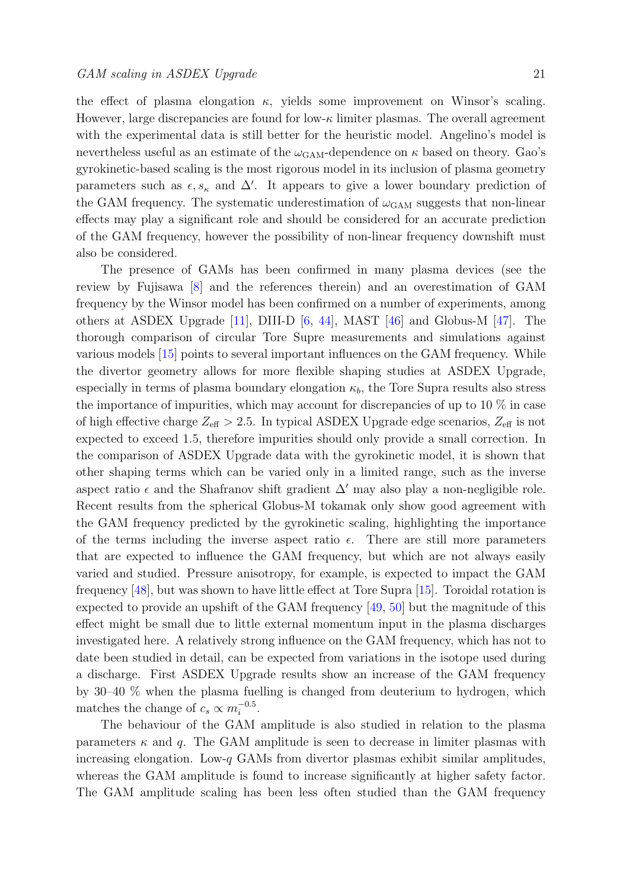the effect of plasma elongation  $\kappa$ , yields some improvement on Winsor's scaling. However, large discrepancies are found for low- $\kappa$  limiter plasmas. The overall agreement with the experimental data is still better for the heuristic model. Angelino's model is nevertheless useful as an estimate of the  $\omega_{\rm GAM}$ -dependence on  $\kappa$  based on theory. Gao's gyrokinetic-based scaling is the most rigorous model in its inclusion of plasma geometry parameters such as  $\epsilon, s_{\kappa}$  and  $\Delta'$ . It appears to give a lower boundary prediction of the GAM frequency. The systematic underestimation of  $\omega_{\text{GAN}}$  suggests that non-linear effects may play a significant role and should be considered for an accurate prediction of the GAM frequency, however the possibility of non-linear frequency downshift must also be considered.

The presence of GAMs has been confirmed in many plasma devices (see the review by Fujisawa [\[8\]](#page-22-7) and the references therein) and an overestimation of GAM frequency by the Winsor model has been confirmed on a number of experiments, among others at ASDEX Upgrade [\[11\]](#page-22-10), DIII-D [\[6,](#page-22-5) [44\]](#page-22-43), MAST [\[46\]](#page-22-45) and Globus-M [\[47\]](#page-22-46). The thorough comparison of circular Tore Supre measurements and simulations against various models [\[15\]](#page-22-14) points to several important influences on the GAM frequency. While the divertor geometry allows for more flexible shaping studies at ASDEX Upgrade, especially in terms of plasma boundary elongation  $\kappa_b$ , the Tore Supra results also stress the importance of impurities, which may account for discrepancies of up to  $10\%$  in case of high effective charge  $Z_{\text{eff}} > 2.5$ . In typical ASDEX Upgrade edge scenarios,  $Z_{\text{eff}}$  is not expected to exceed 1.5, therefore impurities should only provide a small correction. In the comparison of ASDEX Upgrade data with the gyrokinetic model, it is shown that other shaping terms which can be varied only in a limited range, such as the inverse aspect ratio  $\epsilon$  and the Shafranov shift gradient  $\Delta'$  may also play a non-negligible role. Recent results from the spherical Globus-M tokamak only show good agreement with the GAM frequency predicted by the gyrokinetic scaling, highlighting the importance of the terms including the inverse aspect ratio  $\epsilon$ . There are still more parameters that are expected to influence the GAM frequency, but which are not always easily varied and studied. Pressure anisotropy, for example, is expected to impact the GAM frequency [\[48\]](#page-22-47), but was shown to have little effect at Tore Supra [\[15\]](#page-22-14). Toroidal rotation is expected to provide an upshift of the GAM frequency [\[49,](#page-22-48) [50\]](#page-23-0) but the magnitude of this effect might be small due to little external momentum input in the plasma discharges investigated here. A relatively strong influence on the GAM frequency, which has not to date been studied in detail, can be expected from variations in the isotope used during a discharge. First ASDEX Upgrade results show an increase of the GAM frequency by 30–40 % when the plasma fuelling is changed from deuterium to hydrogen, which matches the change of  $c_s \propto m_i^{-0.5}$ .

The behaviour of the GAM amplitude is also studied in relation to the plasma parameters  $\kappa$  and q. The GAM amplitude is seen to decrease in limiter plasmas with increasing elongation. Low-q GAMs from divertor plasmas exhibit similar amplitudes, whereas the GAM amplitude is found to increase significantly at higher safety factor. The GAM amplitude scaling has been less often studied than the GAM frequency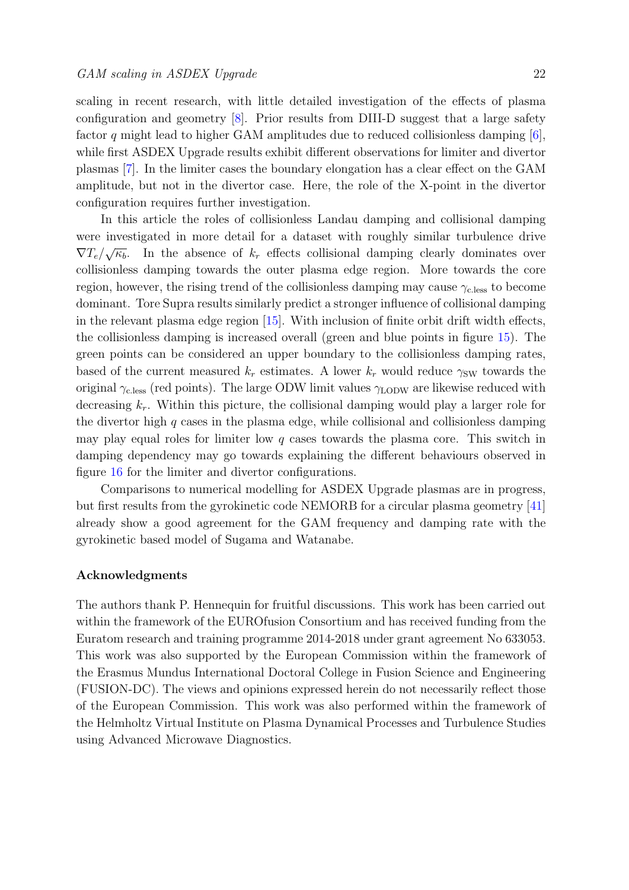scaling in recent research, with little detailed investigation of the effects of plasma configuration and geometry  $\lvert \mathcal{S} \rvert$ . Prior results from DIII-D suggest that a large safety factor q might lead to higher GAM amplitudes due to reduced collisionless damping  $[6]$ , while first ASDEX Upgrade results exhibit different observations for limiter and divertor plasmas [\[7\]](#page-22-6). In the limiter cases the boundary elongation has a clear effect on the GAM amplitude, but not in the divertor case. Here, the role of the X-point in the divertor configuration requires further investigation.

In this article the roles of collisionless Landau damping and collisional damping were investigated in more detail for a dataset with roughly similar turbulence drive  $\nabla T_e/\sqrt{\kappa_b}$ . √ In the absence of  $k_r$  effects collisional damping clearly dominates over collisionless damping towards the outer plasma edge region. More towards the core region, however, the rising trend of the collisionless damping may cause  $\gamma_{\rm c. less}$  to become dominant. Tore Supra results similarly predict a stronger influence of collisional damping in the relevant plasma edge region [\[15\]](#page-22-14). With inclusion of finite orbit drift width effects, the collisionless damping is increased overall (green and blue points in figure [15\)](#page-18-0). The green points can be considered an upper boundary to the collisionless damping rates, based of the current measured  $k_r$  estimates. A lower  $k_r$  would reduce  $\gamma_{SW}$  towards the original  $\gamma_{\text{c.less}}$  (red points). The large ODW limit values  $\gamma_{\text{LODW}}$  are likewise reduced with decreasing  $k_r$ . Within this picture, the collisional damping would play a larger role for the divertor high  $q$  cases in the plasma edge, while collisional and collisionless damping may play equal roles for limiter low  $q$  cases towards the plasma core. This switch in damping dependency may go towards explaining the different behaviours observed in figure [16](#page-19-0) for the limiter and divertor configurations.

Comparisons to numerical modelling for ASDEX Upgrade plasmas are in progress, but first results from the gyrokinetic code NEMORB for a circular plasma geometry [\[41\]](#page-22-40) already show a good agreement for the GAM frequency and damping rate with the gyrokinetic based model of Sugama and Watanabe.

## Acknowledgments

The authors thank P. Hennequin for fruitful discussions. This work has been carried out within the framework of the EUROfusion Consortium and has received funding from the Euratom research and training programme 2014-2018 under grant agreement No 633053. This work was also supported by the European Commission within the framework of the Erasmus Mundus International Doctoral College in Fusion Science and Engineering (FUSION-DC). The views and opinions expressed herein do not necessarily reflect those of the European Commission. This work was also performed within the framework of the Helmholtz Virtual Institute on Plasma Dynamical Processes and Turbulence Studies using Advanced Microwave Diagnostics.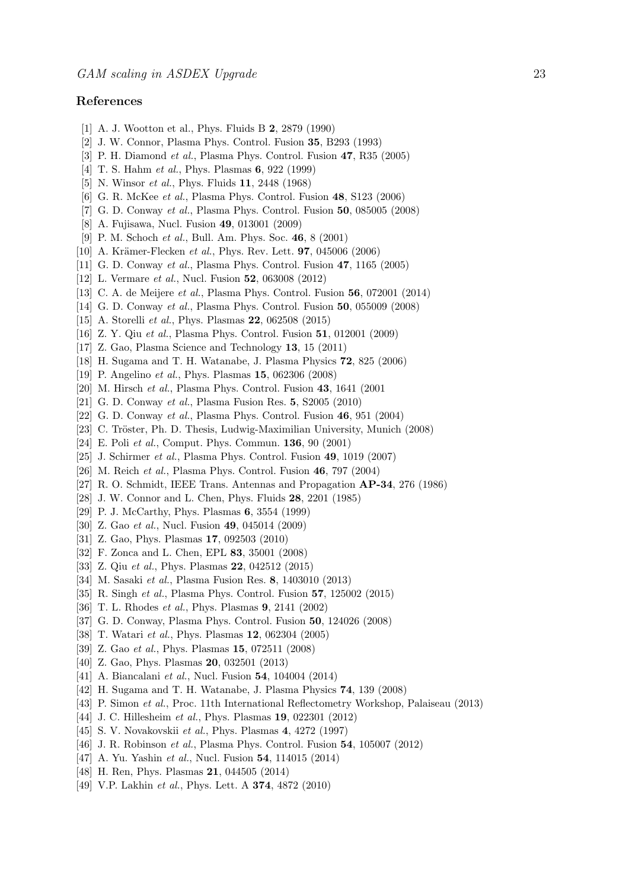## References

- <span id="page-22-0"></span>[1] A. J. Wootton et al., Phys. Fluids B 2, 2879 (1990)
- <span id="page-22-1"></span>[2] J. W. Connor, Plasma Phys. Control. Fusion 35, B293 (1993)
- <span id="page-22-2"></span>[3] P. H. Diamond et al., Plasma Phys. Control. Fusion 47, R35 (2005)
- <span id="page-22-3"></span>[4] T. S. Hahm *et al.*, Phys. Plasmas **6**, 922 (1999)
- <span id="page-22-4"></span>[5] N. Winsor *et al.*, Phys. Fluids **11**, 2448 (1968)
- <span id="page-22-5"></span>[6] G. R. McKee et al., Plasma Phys. Control. Fusion 48, S123 (2006)
- <span id="page-22-6"></span>[7] G. D. Conway et al., Plasma Phys. Control. Fusion 50, 085005 (2008)
- <span id="page-22-7"></span>[8] A. Fujisawa, Nucl. Fusion 49, 013001 (2009)
- <span id="page-22-8"></span>[9] P. M. Schoch et al., Bull. Am. Phys. Soc. 46, 8 (2001)
- <span id="page-22-9"></span>[10] A. Krämer-Flecken *et al.*, Phys. Rev. Lett. **97**, 045006 (2006)
- <span id="page-22-10"></span>[11] G. D. Conway et al., Plasma Phys. Control. Fusion 47, 1165 (2005)
- <span id="page-22-11"></span>[12] L. Vermare et al., Nucl. Fusion 52, 063008 (2012)
- <span id="page-22-12"></span>[13] C. A. de Meijere et al., Plasma Phys. Control. Fusion 56, 072001 (2014)
- <span id="page-22-13"></span>[14] G. D. Conway et al., Plasma Phys. Control. Fusion 50, 055009 (2008)
- <span id="page-22-14"></span>[15] A. Storelli *et al.*, Phys. Plasmas **22**, 062508 (2015)
- <span id="page-22-15"></span>[16] Z. Y. Qiu et al., Plasma Phys. Control. Fusion 51, 012001 (2009)
- <span id="page-22-16"></span>[17] Z. Gao, Plasma Science and Technology 13, 15 (2011)
- <span id="page-22-17"></span>[18] H. Sugama and T. H. Watanabe, J. Plasma Physics 72, 825 (2006)
- <span id="page-22-18"></span>[19] P. Angelino et al., Phys. Plasmas 15, 062306 (2008)
- <span id="page-22-19"></span>[20] M. Hirsch et al., Plasma Phys. Control. Fusion 43, 1641 (2001
- <span id="page-22-20"></span>[21] G. D. Conway et al., Plasma Fusion Res. 5, S2005 (2010)
- <span id="page-22-21"></span>[22] G. D. Conway et al., Plasma Phys. Control. Fusion 46, 951 (2004)
- <span id="page-22-22"></span>[23] C. Tröster, Ph. D. Thesis, Ludwig-Maximilian University, Munich (2008)
- <span id="page-22-23"></span>[24] E. Poli et al., Comput. Phys. Commun. 136, 90 (2001)
- <span id="page-22-24"></span>[25] J. Schirmer et al., Plasma Phys. Control. Fusion 49, 1019 (2007)
- <span id="page-22-25"></span>[26] M. Reich et al., Plasma Phys. Control. Fusion 46, 797 (2004)
- <span id="page-22-26"></span>[27] R. O. Schmidt, IEEE Trans. Antennas and Propagation AP-34, 276 (1986)
- <span id="page-22-27"></span>[28] J. W. Connor and L. Chen, Phys. Fluids 28, 2201 (1985)
- <span id="page-22-28"></span>[29] P. J. McCarthy, Phys. Plasmas 6, 3554 (1999)
- <span id="page-22-29"></span>[30] Z. Gao et al., Nucl. Fusion 49, 045014 (2009)
- <span id="page-22-30"></span>[31] Z. Gao, Phys. Plasmas 17, 092503 (2010)
- <span id="page-22-31"></span>[32] F. Zonca and L. Chen, EPL 83, 35001 (2008)
- <span id="page-22-32"></span>[33] Z. Qiu *et al.*, Phys. Plasmas **22**, 042512 (2015)
- <span id="page-22-33"></span>[34] M. Sasaki et al., Plasma Fusion Res. 8, 1403010 (2013)
- <span id="page-22-34"></span>[35] R. Singh et al., Plasma Phys. Control. Fusion 57, 125002 (2015)
- <span id="page-22-35"></span>[36] T. L. Rhodes et al., Phys. Plasmas 9, 2141 (2002)
- <span id="page-22-36"></span>[37] G. D. Conway, Plasma Phys. Control. Fusion 50, 124026 (2008)
- <span id="page-22-37"></span>[38] T. Watari et al., Phys. Plasmas 12, 062304 (2005)
- <span id="page-22-38"></span>[39] Z. Gao *et al.*, Phys. Plasmas **15**, 072511 (2008)
- <span id="page-22-39"></span>[40] Z. Gao, Phys. Plasmas **20**, 032501 (2013)
- <span id="page-22-40"></span>[41] A. Biancalani et al., Nucl. Fusion **54**, 104004 (2014)
- <span id="page-22-41"></span>[42] H. Sugama and T. H. Watanabe, J. Plasma Physics 74, 139 (2008)
- <span id="page-22-42"></span>[43] P. Simon et al., Proc. 11th International Reflectometry Workshop, Palaiseau (2013)
- <span id="page-22-43"></span>[44] J. C. Hillesheim *et al.*, Phys. Plasmas **19**, 022301 (2012)
- <span id="page-22-44"></span>[45] S. V. Novakovskii et al., Phys. Plasmas 4, 4272 (1997)
- <span id="page-22-45"></span>[46] J. R. Robinson *et al.*, Plasma Phys. Control. Fusion **54**, 105007 (2012)
- <span id="page-22-46"></span>[47] A. Yu. Yashin *et al.*, Nucl. Fusion **54**, 114015 (2014)
- <span id="page-22-47"></span>[48] H. Ren, Phys. Plasmas **21**, 044505 (2014)
- <span id="page-22-48"></span>[49] V.P. Lakhin *et al.*, Phys. Lett. A **374**, 4872 (2010)